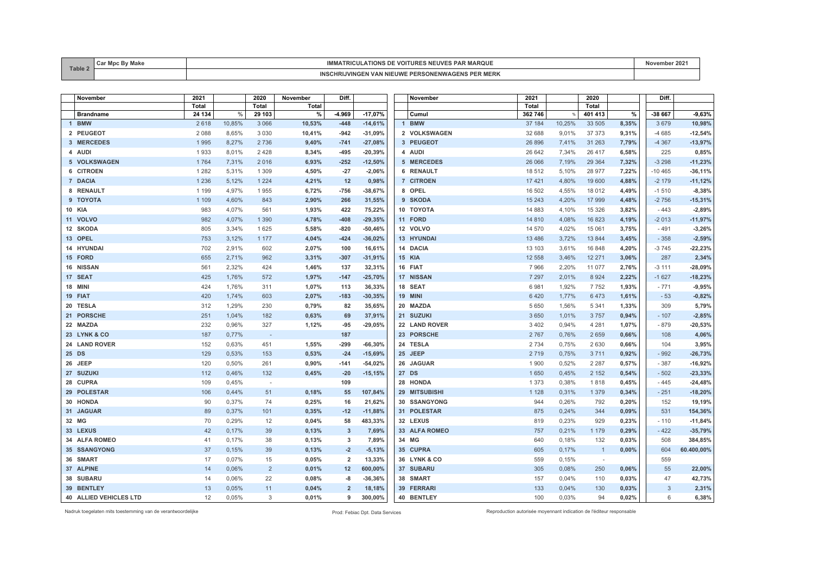| Table 2 | .<br>ີ | ำ Vt.<br><b>KILII</b><br>המוטוו                                                                      | .vover<br>- 202 |
|---------|--------|------------------------------------------------------------------------------------------------------|-----------------|
|         |        | TNS PER MERK<br>INC<br><b>NIFUWF</b><br>: рере<br>$\mathbf{v}$<br>чд(÷)<br>. <i>.</i><br><b>VING</b> |                 |

| November               | 2021         |        | 2020                     | November | Diff.          |           | November       | 2021     |        | 2020         |       | Diff.    |            |
|------------------------|--------------|--------|--------------------------|----------|----------------|-----------|----------------|----------|--------|--------------|-------|----------|------------|
|                        | <b>Total</b> |        | <b>Total</b>             | Total    |                |           |                | Total    |        | Total        |       |          |            |
| <b>Brandname</b>       | 24 134       | $\%$   | 29 103                   | %        | -4.969         | $-17,07%$ | Cumul          | 362 746  | $\%$   | 401 413      | %     | -38 667  | $-9,63%$   |
| 1 BMW                  | 2618         | 10,85% | 3 0 6 6                  | 10,53%   | $-448$         | $-14,61%$ | 1 BMW          | 37 184   | 10,25% | 33 505       | 8,35% | 3679     | 10,98%     |
| 2 PEUGEOT              | 2 0 8 8      | 8,65%  | 3 0 3 0                  | 10,41%   | $-942$         | $-31,09%$ | 2 VOLKSWAGEN   | 32 688   | 9,01%  | 37 37 3      | 9,31% | $-4685$  | $-12,54%$  |
| 3 MERCEDES             | 1995         | 8,27%  | 2736                     | 9,40%    | $-741$         | $-27,08%$ | 3 PEUGEOT      | 26 896   | 7,41%  | 31 263       | 7,79% | $-4367$  | $-13,97%$  |
| 4 AUDI                 | 1933         | 8,01%  | 2428                     | 8,34%    | $-495$         | $-20,39%$ | 4 AUDI         | 26 642   | 7,34%  | 26 417       | 6,58% | 225      | 0,85%      |
| 5 VOLKSWAGEN           | 1764         | 7,31%  | 2016                     | 6,93%    | $-252$         | $-12,50%$ | 5 MERCEDES     | 26 066   | 7,19%  | 29 3 64      | 7,32% | $-3298$  | $-11,23%$  |
| 6 CITROEN              | 1 2 8 2      | 5,31%  | 1 3 0 9                  | 4,50%    | $-27$          | $-2,06%$  | 6 RENAULT      | 18512    | 5,10%  | 28 977       | 7,22% | $-10465$ | $-36,11%$  |
| 7 DACIA                | 1 2 3 6      | 5,12%  | 1 2 2 4                  | 4,21%    | 12             | 0,98%     | 7 CITROEN      | 17 4 21  | 4,80%  | 19 600       | 4,88% | $-2179$  | $-11,12%$  |
| 8 RENAULT              | 1 1 9 9      | 4,97%  | 1955                     | 6,72%    | $-756$         | $-38,67%$ | 8 OPEL         | 16 502   | 4,55%  | 18 012       | 4,49% | $-1510$  | $-8,38%$   |
| 9 TOYOTA               | 1 1 0 9      | 4,60%  | 843                      | 2,90%    | 266            | 31,55%    | 9 SKODA        | 15 243   | 4,20%  | 17 999       | 4,48% | $-2756$  | $-15,31%$  |
| 10 KIA                 | 983          | 4,07%  | 561                      | 1,93%    | 422            | 75,22%    | 10 TOYOTA      | 14 883   | 4,10%  | 15 3 26      | 3,82% | $-443$   | $-2,89%$   |
| 11 VOLVO               | 982          | 4,07%  | 1 3 9 0                  | 4,78%    | $-408$         | $-29,35%$ | 11 FORD        | 14 8 10  | 4,08%  | 16 823       | 4,19% | $-2013$  | $-11,97%$  |
| 12 SKODA               | 805          | 3,34%  | 1625                     | 5,58%    | $-820$         | $-50,46%$ | 12 VOLVO       | 14 570   | 4,02%  | 15 061       | 3,75% | $-491$   | $-3,26%$   |
| 13 OPEL                | 753          | 3,12%  | 1 1 7 7                  | 4,04%    | $-424$         | $-36,02%$ | 13 HYUNDAI     | 13 4 8 6 | 3,72%  | 13 844       | 3,45% | $-358$   | $-2,59%$   |
| 14 HYUNDAI             | 702          | 2.91%  | 602                      | 2,07%    | 100            | 16,61%    | 14 DACIA       | 13 103   | 3.61%  | 16 848       | 4,20% | $-3745$  | $-22,23%$  |
| 15 FORD                | 655          | 2,71%  | 962                      | 3,31%    | $-307$         | $-31,91%$ | <b>15 KIA</b>  | 12 558   | 3,46%  | 12 271       | 3,06% | 287      | 2,34%      |
| 16 NISSAN              | 561          | 2,32%  | 424                      | 1,46%    | 137            | 32,31%    | 16 FIAT        | 7966     | 2,20%  | 11 077       | 2,76% | $-3111$  | $-28,09%$  |
| 17 SEAT                | 425          | 1.76%  | 572                      | 1,97%    | $-147$         | $-25,70%$ | 17 NISSAN      | 7 2 9 7  | 2.01%  | 8 9 2 4      | 2,22% | $-1627$  | $-18,23%$  |
| 18 MINI                | 424          | 1,76%  | 311                      | 1,07%    | 113            | 36,33%    | 18 SEAT        | 6981     | 1,92%  | 7752         | 1,93% | $-771$   | $-9,95%$   |
| 19 FIAT                | 420          | 1,74%  | 603                      | 2,07%    | $-183$         | $-30,35%$ | <b>19 MINI</b> | 6420     | 1,77%  | 6473         | 1,61% | $-53$    | $-0,82%$   |
| 20 TESLA               | 312          | 1,29%  | 230                      | 0,79%    | 82             | 35,65%    | 20 MAZDA       | 5 6 5 0  | 1,56%  | 5 3 4 1      | 1,33% | 309      | 5,79%      |
| 21 PORSCHE             | 251          | 1,04%  | 182                      | 0,63%    | 69             | 37,91%    | 21 SUZUKI      | 3 6 5 0  | 1,01%  | 3757         | 0,94% | $-107$   | $-2,85%$   |
| 22 MAZDA               | 232          | 0,96%  | 327                      | 1,12%    | $-95$          | $-29,05%$ | 22 LAND ROVER  | 3 4 0 2  | 0,94%  | 4 2 8 1      | 1,07% | $-879$   | $-20,53%$  |
| 23 LYNK & CO           | 187          | 0,77%  | $\sim$                   |          | 187            |           | 23 PORSCHE     | 2 7 6 7  | 0,76%  | 2 6 5 9      | 0,66% | 108      | 4,06%      |
| 24 LAND ROVER          | 152          | 0,63%  | 451                      | 1,55%    | $-299$         | $-66,30%$ | 24 TESLA       | 2 7 3 4  | 0,75%  | 2 6 3 0      | 0,66% | 104      | 3,95%      |
| 25 DS                  | 129          | 0,53%  | 153                      | 0,53%    | $-24$          | $-15,69%$ | 25 JEEP        | 2719     | 0,75%  | 3 7 1 1      | 0,92% | $-992$   | $-26,73%$  |
| 26 JEEP                | 120          | 0,50%  | 261                      | 0,90%    | $-141$         | $-54,02%$ | 26 JAGUAR      | 1900     | 0,52%  | 2 2 8 7      | 0,57% | $-387$   | $-16,92%$  |
| 27 SUZUKI              | 112          | 0,46%  | 132                      | 0,45%    | $-20$          | $-15,15%$ | 27 DS          | 1650     | 0,45%  | 2 1 5 2      | 0,54% | $-502$   | $-23,33%$  |
| 28 CUPRA               | 109          | 0,45%  | $\overline{\phantom{a}}$ |          | 109            |           | 28 HONDA       | 1 3 7 3  | 0,38%  | 1818         | 0,45% | $-445$   | $-24,48%$  |
| 29 POLESTAR            | 106          | 0,44%  | 51                       | 0,18%    | 55             | 107,84%   | 29 MITSUBISHI  | 1 1 2 8  | 0,31%  | 1 3 7 9      | 0,34% | $-251$   | $-18,20%$  |
| 30 HONDA               | 90           | 0,37%  | 74                       | 0,25%    | 16             | 21,62%    | 30 SSANGYONG   | 944      | 0,26%  | 792          | 0,20% | 152      | 19,19%     |
| 31 JAGUAR              | 89           | 0,37%  | 101                      | 0,35%    | $-12$          | $-11,88%$ | 31 POLESTAR    | 875      | 0,24%  | 344          | 0,09% | 531      | 154,36%    |
| 32 MG                  | 70           | 0,29%  | 12                       | 0,04%    | 58             | 483,33%   | 32 LEXUS       | 819      | 0,23%  | 929          | 0,23% | $-110$   | $-11,84%$  |
| 33 LEXUS               | 42           | 0,17%  | 39                       | 0,13%    | $\overline{3}$ | 7,69%     | 33 ALFA ROMEO  | 757      | 0,21%  | 1 1 7 9      | 0,29% | $-422$   | $-35,79%$  |
| 34 ALFA ROMEO          | 41           | 0,17%  | 38                       | 0,13%    | 3              | 7,89%     | 34 MG          | 640      | 0,18%  | 132          | 0,03% | 508      | 384,85%    |
| <b>35 SSANGYONG</b>    | 37           | 0,15%  | 39                       | 0,13%    | $-2$           | $-5,13%$  | 35 CUPRA       | 605      | 0,17%  | $\mathbf{1}$ | 0,00% | 604      | 60.400,00% |
| 36 SMART               | 17           | 0,07%  | 15                       | 0,05%    | $\overline{2}$ | 13,33%    | 36 LYNK & CO   | 559      | 0,15%  |              |       | 559      |            |
| 37 ALPINE              | 14           | 0,06%  | $\sqrt{2}$               | 0,01%    | 12             | 600,00%   | 37 SUBARU      | 305      | 0,08%  | 250          | 0,06% | 55       | 22,00%     |
| 38 SUBARU              | 14           | 0,06%  | 22                       | 0,08%    | -8             | $-36,36%$ | 38 SMART       | 157      | 0,04%  | 110          | 0,03% | 47       | 42,73%     |
| 39 BENTLEY             | 13           | 0.05%  | 11                       | 0,04%    | $\overline{2}$ | 18,18%    | 39 FERRARI     | 133      | 0.04%  | 130          | 0,03% | 3        | 2,31%      |
| 40 ALLIED VEHICLES LTD | 12           | 0,05%  | 3                        | 0,01%    | q              | 300,00%   | 40 BENTLEY     | 100      | 0,03%  | 94           | 0,02% | 6        | 6,38%      |

Nadruk toegelaten mits toestemming van de verantwoordelijke Prod: Febiac Dpt. Data Services Reproduction autorisée moyennant indication de l'éditeur responsable